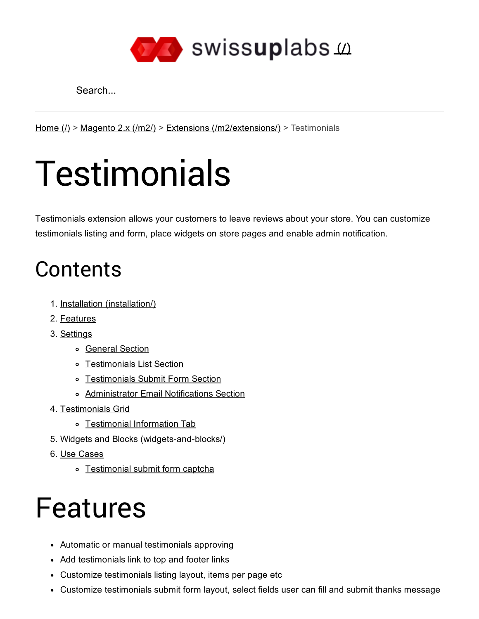

Search...

[Home](http://docs.swissuplabs.com/)  $(1)$  > [Magento](http://docs.swissuplabs.com/m2/) 2.x  $(2)$  > Extensions  $(2)$  /m2/extensions  $(2)$  > Testimonials

# **Testimonials**

Testimonials extension allows your customers to leave reviews about your store. You can customize testimonials listing and form, place widgets on store pages and enable admin notification.

# **Contents**

- 1. Installation [\(installation/\)](http://docs.swissuplabs.com/m2/extensions/testimonials/installation/)
- 2. [Features](#page-0-0)
- 3. [Settings](#page-1-0)
	- o [General](#page-1-1) Section
	- o [Testimonials](#page-1-2) List Section
	- [Testimonials](#page-2-0) Submit Form Section
	- [Administrator](#page-3-0) Email Notifications Section
- 4. [Testimonials](#page-4-0) Grid
	- o [Testimonial](#page-5-0) Information Tab
- 5. Widgets and Blocks (widgets-and-blocks/)
- 6. Use [Cases](#page-6-0)
	- [Testimonial](#page-6-1) submit form captcha

# <span id="page-0-0"></span>Features

- Automatic or manual testimonials approving
- Add testimonials link to top and footer links
- Customize testimonials listing layout, items per page etc
- Customize testimonials submit form layout, select fields user can fill and submit thanks message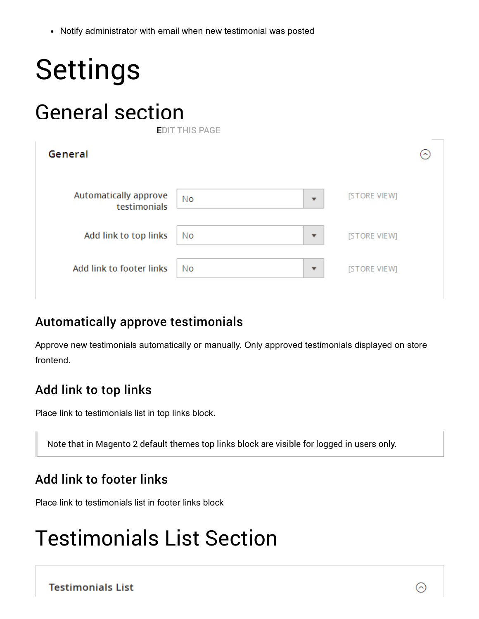Notify administrator with email when new testimonial was posted

<span id="page-1-1"></span><span id="page-1-0"></span>

| <b>Settings</b>                       |                                      |              |  |
|---------------------------------------|--------------------------------------|--------------|--|
| <b>General section</b>                | <b>EDIT THIS PAGE</b>                |              |  |
| General                               |                                      |              |  |
| Automatically approve<br>testimonials | <b>No</b><br>$\overline{\mathbf{v}}$ | [STORE VIEW] |  |
| Add link to top links                 | <b>No</b><br>$\overline{\mathbf{v}}$ | [STORE VIEW] |  |
| Add link to footer links              | <b>No</b><br>▼                       | [STORE VIEW] |  |

#### Automatically approve testimonials

Approve new testimonials automatically or manually. Only approved testimonials displayed on store frontend.

#### Add link to top links

Place link to testimonials list in top links block.

Note that in Magento 2 default themes top links block are visible for logged in users only.

#### Add link to footer links

Place link to testimonials list in footer links block

# <span id="page-1-2"></span>Testimonials List Section

**Testimonials List** 

 $(\widehat{\phantom{a}})$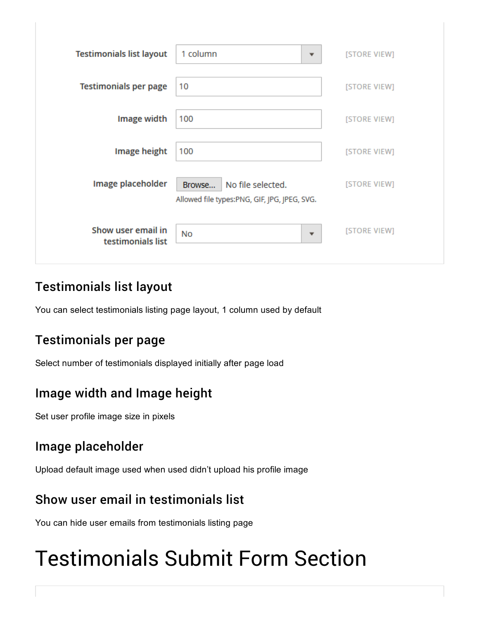| <b>Testimonials list layout</b>         | 1 column<br>▼                                                               | [STORE VIEW] |
|-----------------------------------------|-----------------------------------------------------------------------------|--------------|
| <b>Testimonials per page</b>            | 10                                                                          | [STORE VIEW] |
| Image width                             | 100                                                                         | [STORE VIEW] |
| Image height                            | 100                                                                         | [STORE VIEW] |
| Image placeholder                       | No file selected.<br>Browse<br>Allowed file types:PNG, GIF, JPG, JPEG, SVG. | [STORE VIEW] |
| Show user email in<br>testimonials list | <b>No</b><br>$\overline{\phantom{a}}$                                       | [STORE VIEW] |

### Testimonials list layout

You can select testimonials listing page layout, 1 column used by default

#### Testimonials per page

Select number of testimonials displayed initially after page load

#### Image width and Image height

Set user profile image size in pixels

#### Image placeholder

Upload default image used when used didn't upload his profile image

#### Show user email in testimonials list

You can hide user emails from testimonials listing page

# <span id="page-2-0"></span>Testimonials Submit Form Section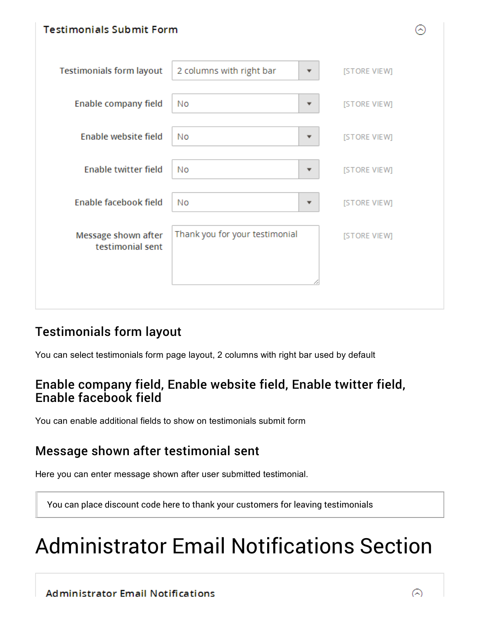

### Testimonials form layout

You can select testimonials form page layout, 2 columns with right bar used by default

#### Enable company field, Enable website field, Enable twitter field, Enable facebook field

You can enable additional fields to show on testimonials submit form

### Message shown after testimonial sent

Here you can enter message shown after user submitted testimonial.

You can place discount code here to thank your customers for leaving testimonials

# <span id="page-3-0"></span>Administrator Email Notifications Section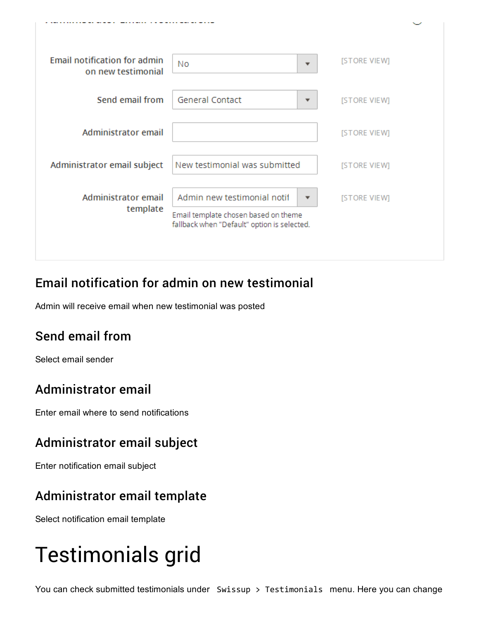

### Email notification for admin on new testimonial

Admin will receive email when new testimonial was posted

# Send email from

Select email sender

### Administrator email

Enter email where to send notifications

#### Administrator email subject

Enter notification email subject

### Administrator email template

Select notification email template

# <span id="page-4-0"></span>Testimonials grid

You can check submitted testimonials under Swissup > Testimonials menu. Here you can change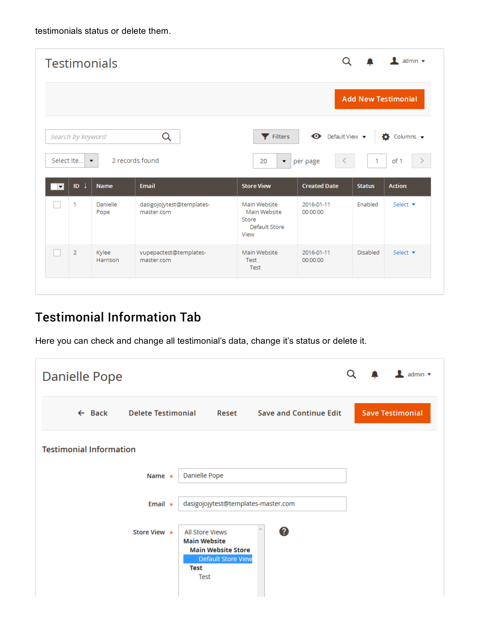testimonials status or delete them.

|                          |                   | <b>Testimonials</b>  |                                         |                                                                |                                  |               | $\perp$ admin $\sim$        |  |
|--------------------------|-------------------|----------------------|-----------------------------------------|----------------------------------------------------------------|----------------------------------|---------------|-----------------------------|--|
|                          |                   |                      |                                         |                                                                | <b>Add New Testimonial</b>       |               |                             |  |
|                          | Search by keyword |                      | Q                                       | Filters                                                        | $\bullet$ Default View $\bullet$ |               | $\bullet$ Columns $\bullet$ |  |
|                          | Select Ite        | $\blacktriangledown$ | 2 records found                         | 20<br>$\blacktriangledown$                                     | per page                         | 1             | of 1                        |  |
| $\overline{\phantom{a}}$ | $ID \downarrow$   | <b>Name</b>          | <b>Email</b>                            | <b>Store View</b>                                              | <b>Created Date</b>              | <b>Status</b> | <b>Action</b>               |  |
|                          | 1                 | Danielle<br>Pope     | dasigojojytest@templates-<br>master.com | Main Website<br>Main Website<br>Store<br>Default Store<br>View | 2016-01-11<br>00:00:00           | Enabled       | Select $\blacktriangledown$ |  |
|                          | $\overline{2}$    | Kylee<br>Harrison    | vupepactest@templates-<br>master.com    | Main Website<br>Test                                           | 2016-01-11<br>00:00:00           | Disabled      | Select $\blacktriangledown$ |  |

# <span id="page-5-0"></span>Testimonial Information Tab

Here you can check and change all testimonial's data, change it's status or delete it.

| <b>Danielle Pope</b>           |                           |                                                                                                                                       |       |                               |  | admin $\blacktriangledown$ |
|--------------------------------|---------------------------|---------------------------------------------------------------------------------------------------------------------------------------|-------|-------------------------------|--|----------------------------|
| $\leftarrow$ Back              | <b>Delete Testimonial</b> |                                                                                                                                       | Reset | <b>Save and Continue Edit</b> |  | <b>Save Testimonial</b>    |
| <b>Testimonial Information</b> |                           |                                                                                                                                       |       |                               |  |                            |
|                                | Name $\star$              | Danielle Pope                                                                                                                         |       |                               |  |                            |
|                                | Email $\star$             | dasigojojytest@templates-master.com                                                                                                   |       |                               |  |                            |
|                                | Store View $\star$        | <b>All Store Views</b><br><b>Main Website</b><br><b>Main Website Store</b><br><b>Default Store View</b><br><b>Test</b><br><b>Test</b> |       | 0                             |  |                            |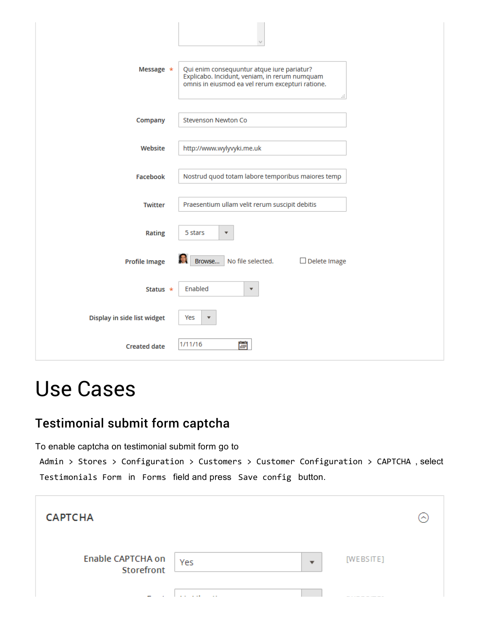| Message *                   | Qui enim consequuntur atque iure pariatur?<br>Explicabo. Incidunt, veniam, in rerum numquam<br>omnis in eiusmod ea vel rerum excepturi ratione.<br>a. |
|-----------------------------|-------------------------------------------------------------------------------------------------------------------------------------------------------|
| Company                     | Stevenson Newton Co                                                                                                                                   |
| Website                     | http://www.wylyvyki.me.uk                                                                                                                             |
| Facebook                    | Nostrud quod totam labore temporibus maiores temp                                                                                                     |
| <b>Twitter</b>              | Praesentium ullam velit rerum suscipit debitis                                                                                                        |
| Rating                      | 5 stars<br>$\overline{\mathbf{v}}$                                                                                                                    |
| <b>Profile Image</b>        | No file selected.<br>Browse<br>$\Box$ Delete Image                                                                                                    |
| Status $\star$              | Enabled<br>$\overline{\mathbf{v}}$                                                                                                                    |
| Display in side list widget | Yes<br>$\overline{\mathbf{v}}$                                                                                                                        |
| <b>Created date</b>         | 鸕<br>1/11/16                                                                                                                                          |

# <span id="page-6-0"></span>Use Cases

### <span id="page-6-1"></span>Testimonial submit form captcha

To enable captcha on testimonial submit form go to

Admin > Stores > Configuration > Customers > Customer Configuration > CAPTCHA , select Testimonials Form in Forms field and press Save config button.

| <b>CAPTCHA</b>                  |          |           | ∽ |
|---------------------------------|----------|-----------|---|
| Enable CAPTCHA on<br>Storefront | Yes<br>▼ | [WEBSITE] |   |
|                                 | $\sim$   |           |   |